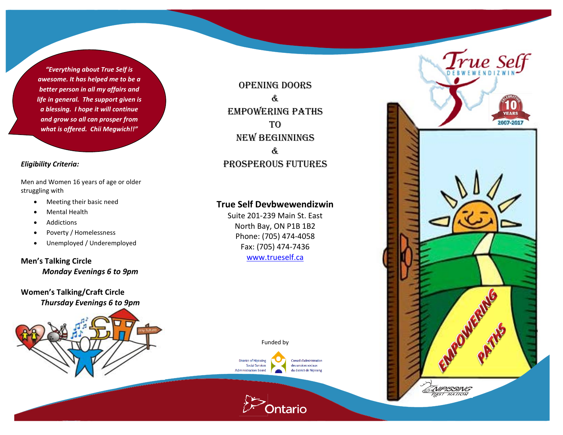*"Everything about True Self is awesome. It has helped me to be a better person in all my affairs and life in general. The support given is a blessing. I hope it will continue and grow so all can prosper from what is offered. Chii Megwich!!"*

### *Eligibility Criteria:*

Men and Women 16 years of age or older struggling with

- Meeting their basic need
- Mental Health
- Addictions
- Poverty / Homelessness
- Unemployed / Underemployed

**Men's Talking Circle** *Monday Evenings 6 to 9pm*

**Women's Talking/Craft Circle** *Thursday Evenings 6 to 9pm*



OPENING Doors & Empowering Paths T<sub>O</sub> New Beginnings & Prosperous Futures

# **True Self Devbwewendizwin**

Suite 201-239 Main St. East North Bay, ON P1B 1B2 Phone: (705) 474-4058 Fax: (705) 474-7436 [www.trueself.ca](http://www.trueself.ca/)

Funded by

tario